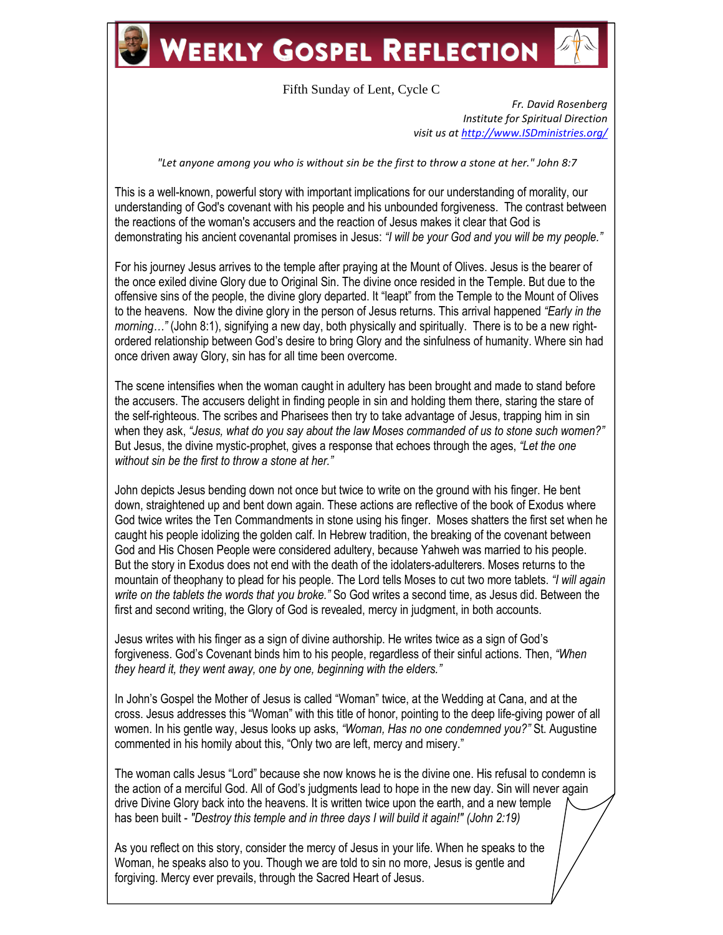

Fifth Sunday of Lent, Cycle C

*Fr. David Rosenberg Institute for Spiritual Direction visit us at [http://www.ISDministries.org/](http://www.isdministries.org/)*

*"Let anyone among you who is without sin be the first to throw a stone at her." John 8:7*

This is a well-known, powerful story with important implications for our understanding of morality, our understanding of God's covenant with his people and his unbounded forgiveness. The contrast between the reactions of the woman's accusers and the reaction of Jesus makes it clear that God is demonstrating his ancient covenantal promises in Jesus: *"I will be your God and you will be my people."*

For his journey Jesus arrives to the temple after praying at the Mount of Olives. Jesus is the bearer of the once exiled divine Glory due to Original Sin. The divine once resided in the Temple. But due to the offensive sins of the people, the divine glory departed. It "leapt" from the Temple to the Mount of Olives to the heavens. Now the divine glory in the person of Jesus returns. This arrival happened *"Early in the morning…"* (John 8:1), signifying a new day, both physically and spiritually. There is to be a new rightordered relationship between God's desire to bring Glory and the sinfulness of humanity. Where sin had once driven away Glory, sin has for all time been overcome.

The scene intensifies when the woman caught in adultery has been brought and made to stand before the accusers. The accusers delight in finding people in sin and holding them there, staring the stare of the self-righteous. The scribes and Pharisees then try to take advantage of Jesus, trapping him in sin when they ask, *"Jesus, what do you say about the law Moses commanded of us to stone such women?"* But Jesus, the divine mystic-prophet, gives a response that echoes through the ages, *"Let the one without sin be the first to throw a stone at her."*

John depicts Jesus bending down not once but twice to write on the ground with his finger. He bent down, straightened up and bent down again. These actions are reflective of the book of Exodus where God twice writes the Ten Commandments in stone using his finger. Moses shatters the first set when he caught his people idolizing the golden calf. In Hebrew tradition, the breaking of the covenant between God and His Chosen People were considered adultery, because Yahweh was married to his people. But the story in Exodus does not end with the death of the idolaters-adulterers. Moses returns to the mountain of theophany to plead for his people. The Lord tells Moses to cut two more tablets. *"I will again write on the tablets the words that you broke."* So God writes a second time, as Jesus did. Between the first and second writing, the Glory of God is revealed, mercy in judgment, in both accounts.

Jesus writes with his finger as a sign of divine authorship. He writes twice as a sign of God's forgiveness. God's Covenant binds him to his people, regardless of their sinful actions. Then, *"When they heard it, they went away, one by one, beginning with the elders."*

In John's Gospel the Mother of Jesus is called "Woman" twice, at the Wedding at Cana, and at the cross. Jesus addresses this "Woman" with this title of honor, pointing to the deep life-giving power of all women. In his gentle way, Jesus looks up asks, *"Woman, Has no one condemned you?"* St. Augustine commented in his homily about this, "Only two are left, mercy and misery."

The woman calls Jesus "Lord" because she now knows he is the divine one. His refusal to condemn is the action of a merciful God. All of God's judgments lead to hope in the new day. Sin will never again drive Divine Glory back into the heavens. It is written twice upon the earth, and a new temple has been built - *"Destroy this temple and in three days I will build it again!" (John 2:19)*

As you reflect on this story, consider the mercy of Jesus in your life. When he speaks to the Woman, he speaks also to you. Though we are told to sin no more, Jesus is gentle and forgiving. Mercy ever prevails, through the Sacred Heart of Jesus.